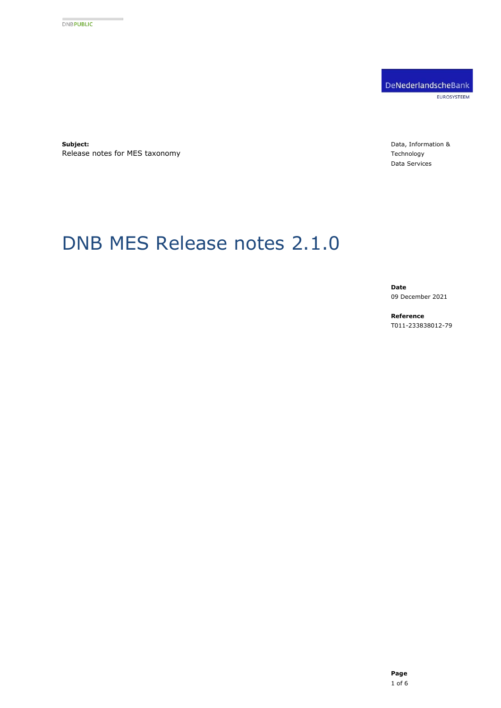DeNederlandscheBank EUROSYSTEEM

**Subject:** Release notes for MES taxonomy Data, Information & Technology Data Services

# DNB MES Release notes 2.1.0

**Date** 09 December 2021

**Reference** T011-233838012-79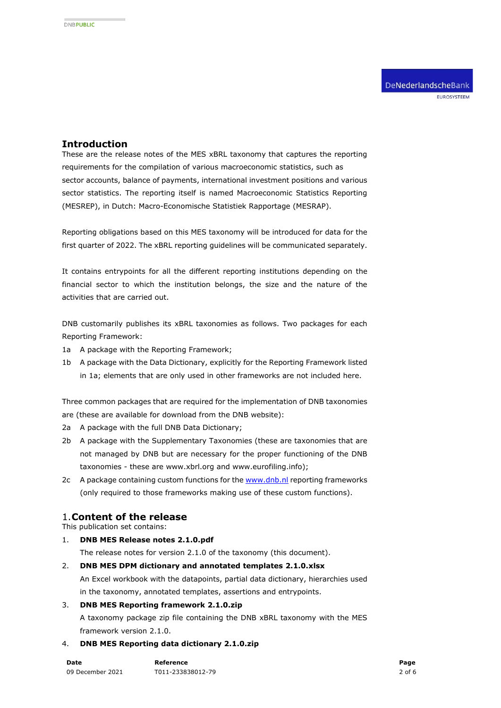## **Introduction**

These are the release notes of the MES xBRL taxonomy that captures the reporting requirements for the compilation of various macroeconomic statistics, such as sector accounts, balance of payments, international investment positions and various sector statistics. The reporting itself is named Macroeconomic Statistics Reporting (MESREP), in Dutch: Macro-Economische Statistiek Rapportage (MESRAP).

Reporting obligations based on this MES taxonomy will be introduced for data for the first quarter of 2022. The xBRL reporting guidelines will be communicated separately.

It contains entrypoints for all the different reporting institutions depending on the financial sector to which the institution belongs, the size and the nature of the activities that are carried out.

DNB customarily publishes its xBRL taxonomies as follows. Two packages for each Reporting Framework:

- 1a A package with the Reporting Framework;
- 1b A package with the Data Dictionary, explicitly for the Reporting Framework listed in 1a; elements that are only used in other frameworks are not included here.

Three common packages that are required for the implementation of DNB taxonomies are (these are available for download from the DNB website):

- 2a A package with the full DNB Data Dictionary;
- 2b A package with the Supplementary Taxonomies (these are taxonomies that are not managed by DNB but are necessary for the proper functioning of the DNB taxonomies - these are www.xbrl.org and www.eurofiling.info);
- 2c A package containing custom functions for the [www.dnb.nl](http://www.dnb.nl/) reporting frameworks (only required to those frameworks making use of these custom functions).

## 1.**Content of the release**

This publication set contains:

1. **DNB MES Release notes 2.1.0.pdf**

The release notes for version 2.1.0 of the taxonomy (this document).

- 2. **DNB MES DPM dictionary and annotated templates 2.1.0.xlsx** An Excel workbook with the datapoints, partial data dictionary, hierarchies used in the taxonomy, annotated templates, assertions and entrypoints.
- 3. **DNB MES Reporting framework 2.1.0.zip** A taxonomy package zip file containing the DNB xBRL taxonomy with the MES framework version 2.1.0.
- 4. **DNB MES Reporting data dictionary 2.1.0.zip**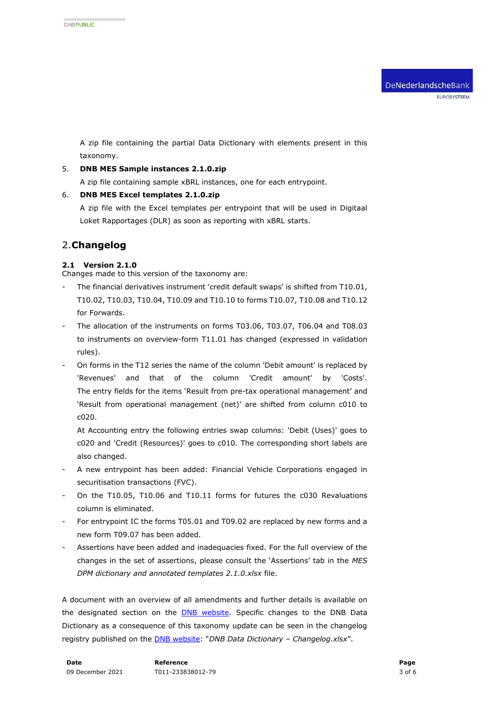A zip file containing the partial Data Dictionary with elements present in this taxonomy.

#### 5. **DNB MES Sample instances 2.1.0.zip**

A zip file containing sample xBRL instances, one for each entrypoint.

#### 6. **DNB MES Excel templates 2.1.0.zip**

A zip file with the Excel templates per entrypoint that will be used in Digitaal Loket Rapportages (DLR) as soon as reporting with xBRL starts.

# 2.**Changelog**

### **2.1 Version 2.1.0**

Changes made to this version of the taxonomy are:

- The financial derivatives instrument 'credit default swaps' is shifted from T10.01, T10.02, T10.03, T10.04, T10.09 and T10.10 to forms T10.07, T10.08 and T10.12 for Forwards.
- The allocation of the instruments on forms T03.06, T03.07, T06.04 and T08.03 to instruments on overview-form T11.01 has changed (expressed in validation rules).
- On forms in the T12 series the name of the column 'Debit amount' is replaced by 'Revenues' and that of the column 'Credit amount' by 'Costs'. The entry fields for the items 'Result from pre-tax operational management' and 'Result from operational management (net)' are shifted from column c010 to c020.

At Accounting entry the following entries swap columns: 'Debit (Uses)' goes to c020 and 'Credit (Resources)' goes to c010. The corresponding short labels are also changed.

- A new entrypoint has been added: Financial Vehicle Corporations engaged in securitisation transactions (FVC).
- On the T10.05, T10.06 and T10.11 forms for futures the c030 Revaluations column is eliminated.
- For entrypoint IC the forms T05.01 and T09.02 are replaced by new forms and a new form T09.07 has been added.
- Assertions have been added and inadequacies fixed. For the full overview of the changes in the set of assertions, please consult the 'Assertions' tab in the *MES DPM dictionary and annotated templates 2.1.0.xlsx* file.

A document with an overview of all amendments and further details is available on the designated section on the [DNB website.](https://www.dnb.nl/login/digitaal-loket-rapportages/statistische-rapportages/macro-economische-statistiek-rapportage-mesrap/documentatie-mesrap/) Specific changes to the DNB Data Dictionary as a consequence of this taxonomy update can be seen in the changelog registry published on the [DNB website](https://www.dnb.nl/login/digitaal-loket-rapportages/informatie-en-documentatie/): "*DNB Data Dictionary – Changelog.xlsx*".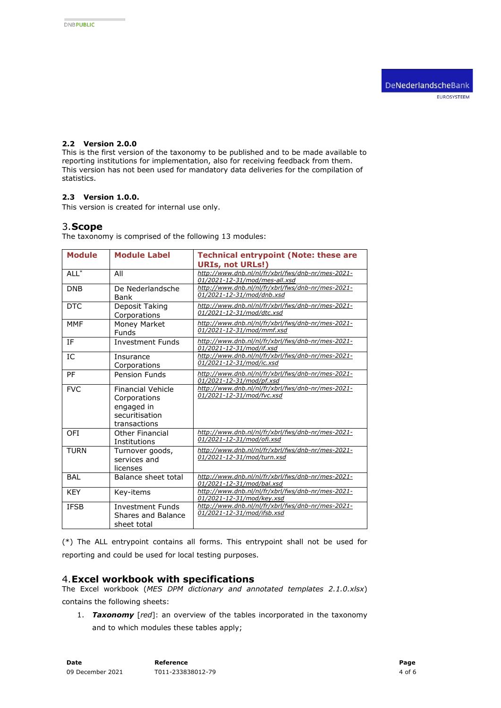## **2.2 Version 2.0.0**

This is the first version of the taxonomy to be published and to be made available to reporting institutions for implementation, also for receiving feedback from them. This version has not been used for mandatory data deliveries for the compilation of statistics.

### **2.3 Version 1.0.0.**

This version is created for internal use only.

### 3.**Scope**

The taxonomy is comprised of the following 13 modules:

| <b>Module</b> | <b>Module Label</b>                                                                      | <b>Technical entrypoint (Note: these are</b>                                                                  |
|---------------|------------------------------------------------------------------------------------------|---------------------------------------------------------------------------------------------------------------|
| $ALL^*$       | All                                                                                      | <b>URIs, not URLs!)</b><br>http://www.dnb.nl/nl/fr/xbrl/fws/dnb-nr/mes-2021-<br>01/2021-12-31/mod/mes-all.xsd |
| <b>DNB</b>    | De Nederlandsche<br>Bank                                                                 | http://www.dnb.nl/nl/fr/xbrl/fws/dnb-nr/mes-2021-<br>01/2021-12-31/mod/dnb.xsd                                |
| <b>DTC</b>    | Deposit Taking<br>Corporations                                                           | http://www.dnb.nl/nl/fr/xbrl/fws/dnb-nr/mes-2021-<br>01/2021-12-31/mod/dtc.xsd                                |
| <b>MMF</b>    | Money Market<br><b>Funds</b>                                                             | http://www.dnb.nl/nl/fr/xbrl/fws/dnb-nr/mes-2021-<br>01/2021-12-31/mod/mmf.xsd                                |
| <b>IF</b>     | <b>Investment Funds</b>                                                                  | http://www.dnb.nl/nl/fr/xbrl/fws/dnb-nr/mes-2021-<br>01/2021-12-31/mod/if.xsd                                 |
| IC            | Insurance<br>Corporations                                                                | http://www.dnb.nl/nl/fr/xbrl/fws/dnb-nr/mes-2021-<br>01/2021-12-31/mod/ic.xsd                                 |
| PF            | Pension Funds                                                                            | http://www.dnb.nl/nl/fr/xbrl/fws/dnb-nr/mes-2021-<br>01/2021-12-31/mod/pf.xsd                                 |
| <b>FVC</b>    | <b>Financial Vehicle</b><br>Corporations<br>engaged in<br>securitisation<br>transactions | http://www.dnb.nl/nl/fr/xbrl/fws/dnb-nr/mes-2021-<br>01/2021-12-31/mod/fvc.xsd                                |
| OFI           | Other Financial<br>Institutions                                                          | http://www.dnb.nl/nl/fr/xbrl/fws/dnb-nr/mes-2021-<br>01/2021-12-31/mod/ofi.xsd                                |
| <b>TURN</b>   | Turnover goods,<br>services and<br>licenses                                              | http://www.dnb.nl/nl/fr/xbrl/fws/dnb-nr/mes-2021-<br>01/2021-12-31/mod/turn.xsd                               |
| BAI           | Balance sheet total                                                                      | http://www.dnb.nl/nl/fr/xbrl/fws/dnb-nr/mes-2021-<br>01/2021-12-31/mod/bal.xsd                                |
| <b>KFY</b>    | Key-items                                                                                | http://www.dnb.nl/nl/fr/xbrl/fws/dnb-nr/mes-2021-<br>01/2021-12-31/mod/key.xsd                                |
| <b>TESB</b>   | <b>Investment Funds</b><br>Shares and Balance<br>sheet total                             | http://www.dnb.nl/nl/fr/xbrl/fws/dnb-nr/mes-2021-<br>01/2021-12-31/mod/ifsb.xsd                               |

(\*) The ALL entrypoint contains all forms. This entrypoint shall not be used for reporting and could be used for local testing purposes.

#### 4.**Excel workbook with specifications**

The Excel workbook (*MES DPM dictionary and annotated templates 2.1.0.xlsx*) contains the following sheets:

1. *Taxonomy* [*red*]: an overview of the tables incorporated in the taxonomy and to which modules these tables apply;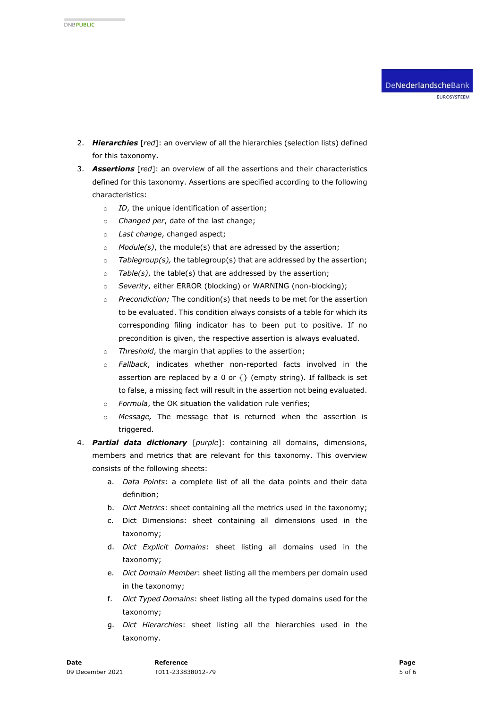- 2. *Hierarchies* [*red*]: an overview of all the hierarchies (selection lists) defined for this taxonomy.
- 3. *Assertions* [*red*]: an overview of all the assertions and their characteristics defined for this taxonomy. Assertions are specified according to the following characteristics:
	- o *ID*, the unique identification of assertion;
	- o *Changed per*, date of the last change;
	- o *Last change*, changed aspect;
	- o *Module(s)*, the module(s) that are adressed by the assertion;
	- o *Tablegroup(s),* the tablegroup(s) that are addressed by the assertion;
	- o *Table(s)*, the table(s) that are addressed by the assertion;
	- o *Severity*, either ERROR (blocking) or WARNING (non-blocking);
	- o *Precondiction;* The condition(s) that needs to be met for the assertion to be evaluated. This condition always consists of a table for which its corresponding filing indicator has to been put to positive. If no precondition is given, the respective assertion is always evaluated.
	- o *Threshold*, the margin that applies to the assertion;
	- o *Fallback*, indicates whether non-reported facts involved in the assertion are replaced by a 0 or  $\{ \}$  (empty string). If fallback is set to false, a missing fact will result in the assertion not being evaluated.
	- o *Formula*, the OK situation the validation rule verifies;
	- o *Message,* The message that is returned when the assertion is triggered.
- 4. *Partial data dictionary* [*purple*]: containing all domains, dimensions, members and metrics that are relevant for this taxonomy. This overview consists of the following sheets:
	- a. *Data Points*: a complete list of all the data points and their data definition;
	- b. *Dict Metrics*: sheet containing all the metrics used in the taxonomy;
	- c. Dict Dimensions: sheet containing all dimensions used in the taxonomy;
	- d. *Dict Explicit Domains*: sheet listing all domains used in the taxonomy;
	- e. *Dict Domain Member*: sheet listing all the members per domain used in the taxonomy;
	- f. *Dict Typed Domains*: sheet listing all the typed domains used for the taxonomy;
	- g. *Dict Hierarchies*: sheet listing all the hierarchies used in the taxonomy.